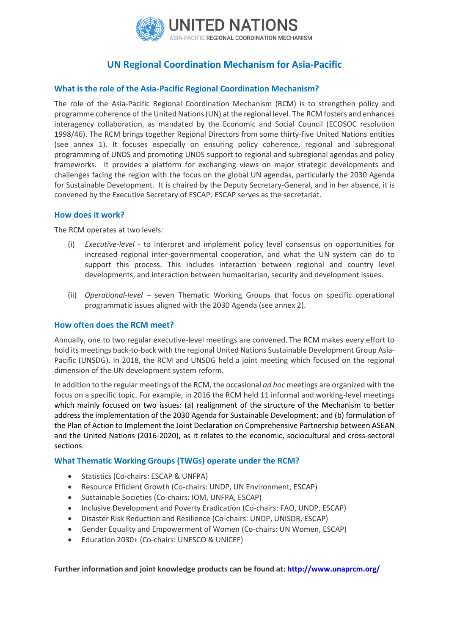

# **UN Regional Coordination Mechanism for Asia-Pacific**

### **What is the role of the Asia-Pacific Regional Coordination Mechanism?**

The role of the Asia-Pacific Regional Coordination Mechanism (RCM) is to strengthen policy and programme coherence of the United Nations (UN) at the regional level. The RCM fosters and enhances interagency collaboration, as mandated by the Economic and Social Council (ECOSOC resolution 1998/46). The RCM brings together Regional Directors from some thirty-five United Nations entities (see annex 1). It focuses especially on ensuring policy coherence, regional and subregional programming of UNDS and promoting UNDS support to regional and subregional agendas and policy frameworks. It provides a platform for exchanging views on major strategic developments and challenges facing the region with the focus on the global UN agendas, particularly the 2030 Agenda for Sustainable Development. It is chaired by the Deputy Secretary-General, and in her absence, it is convened by the Executive Secretary of ESCAP. ESCAP serves as the secretariat.

### **How does it work?**

The RCM operates at two levels:

- (i) *Executive-level* to interpret and implement policy level consensus on opportunities for increased regional inter-governmental cooperation, and what the UN system can do to support this process. This includes interaction between regional and country level developments, and interaction between humanitarian, security and development issues.
- (ii) *Operational-level –* seven Thematic Working Groups that focus on specific operational programmatic issues aligned with the 2030 Agenda (see annex 2).

#### **How often does the RCM meet?**

Annually, one to two regular executive-level meetings are convened. The RCM makes every effort to hold its meetings back-to-back with the regional United Nations Sustainable Development Group Asia-Pacific (UNSDG). In 2018, the RCM and UNSDG held a joint meeting which focused on the regional dimension of the UN development system reform.

In addition to the regular meetings of the RCM, the occasional *ad hoc* meetings are organized with the focus on a specific topic. For example, in 2016 the RCM held 11 informal and working-level meetings which mainly focused on two issues: (a) realignment of the structure of the Mechanism to better address the implementation of the 2030 Agenda for Sustainable Development; and (b) formulation of the Plan of Action to Implement the Joint Declaration on Comprehensive Partnership between ASEAN and the United Nations (2016-2020), as it relates to the economic, sociocultural and cross-sectoral sections.

#### **What Thematic Working Groups (TWGs) operate under the RCM?**

- Statistics (Co-chairs: ESCAP & UNFPA)
- Resource Efficient Growth (Co-chairs: UNDP, UN Environment, ESCAP)
- Sustainable Societies (Co-chairs: IOM, UNFPA, ESCAP)
- Inclusive Development and Poverty Eradication (Co-chairs: FAO, UNDP, ESCAP)
- Disaster Risk Reduction and Resilience (Co-chairs: UNDP, UNISDR, ESCAP)
- Gender Equality and Empowerment of Women (Co-chairs: UN Women, ESCAP)
- Education 2030+ (Co-chairs: UNESCO & UNICEF)

**Further information and joint knowledge products can be found at:<http://www.unaprcm.org/>**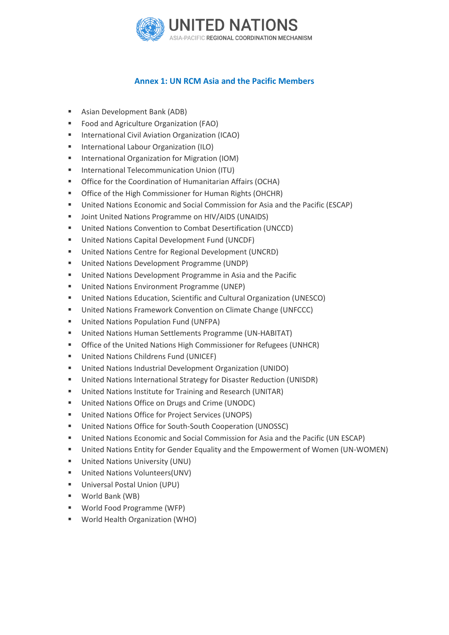

## **Annex 1: UN RCM Asia and the Pacific Members**

- Asian Development Bank (ADB)
- Food and Agriculture Organization (FAO)
- International Civil Aviation Organization (ICAO)
- International Labour Organization (ILO)
- International Organization for Migration (IOM)
- International Telecommunication Union (ITU)
- Office for the Coordination of Humanitarian Affairs (OCHA)
- **Office of the High Commissioner for Human Rights (OHCHR)**
- United Nations Economic and Social Commission for Asia and the Pacific (ESCAP)
- Joint United Nations Programme on HIV/AIDS (UNAIDS)
- United Nations Convention to Combat Desertification (UNCCD)
- United Nations Capital Development Fund (UNCDF)
- United Nations Centre for Regional Development (UNCRD)
- United Nations Development Programme (UNDP)
- United Nations Development Programme in Asia and the Pacific
- United Nations Environment Programme (UNEP)
- United Nations Education, Scientific and Cultural Organization (UNESCO)
- United Nations Framework Convention on Climate Change (UNFCCC)
- United Nations Population Fund (UNFPA)
- United Nations Human Settlements Programme (UN-HABITAT)
- Office of the United Nations High Commissioner for Refugees (UNHCR)
- United Nations Childrens Fund (UNICEF)
- United Nations Industrial Development Organization (UNIDO)
- United Nations International Strategy for Disaster Reduction (UNISDR)
- United Nations Institute for Training and Research (UNITAR)
- United Nations Office on Drugs and Crime (UNODC)
- United Nations Office for Project Services (UNOPS)
- United Nations Office for South-South Cooperation (UNOSSC)
- United Nations Economic and Social Commission for Asia and the Pacific (UN ESCAP)
- United Nations Entity for Gender Equality and the Empowerment of Women (UN-WOMEN)
- United Nations University (UNU)
- United Nations Volunteers(UNV)
- Universal Postal Union (UPU)
- World Bank (WB)
- World Food Programme (WFP)
- World Health Organization (WHO)